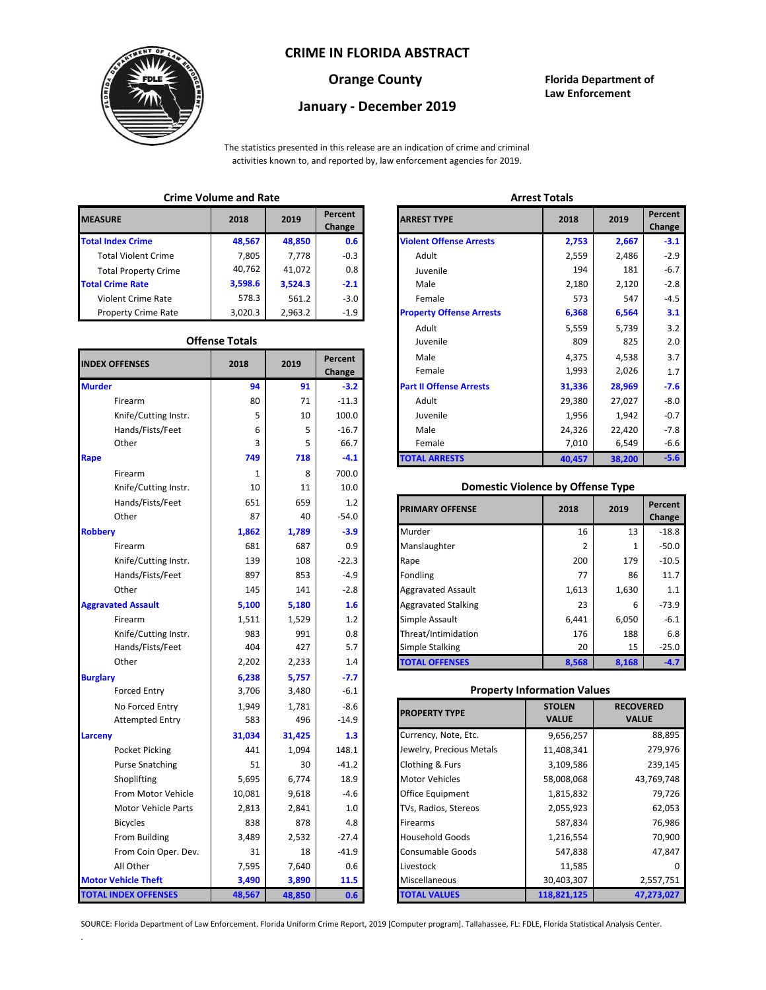## **CRIME IN FLORIDA ABSTRACT**



# **January - December 2019**

**Orange County Florida Department of Law Enforcement**

The statistics presented in this release are an indication of crime and criminal activities known to, and reported by, law enforcement agencies for 2019.

## **Crime Volume and Rate Arrest Totals**

| <b>MEASURE</b>              | 2018    | 2019    | Percent<br>Change | <b>ARREST TYPE</b>             |
|-----------------------------|---------|---------|-------------------|--------------------------------|
| <b>Total Index Crime</b>    | 48,567  | 48,850  | 0.6               | <b>Violent Offense Arrests</b> |
| <b>Total Violent Crime</b>  | 7.805   | 7.778   | $-0.3$            | Adult                          |
| <b>Total Property Crime</b> | 40,762  | 41.072  | 0.8               | Juvenile                       |
| <b>Total Crime Rate</b>     | 3,598.6 | 3,524.3 | $-2.1$            | Male                           |
| <b>Violent Crime Rate</b>   | 578.3   | 561.2   | $-3.0$            | Female                         |
| <b>Property Crime Rate</b>  | 3,020.3 | 2,963.2 | $-1.9$            | <b>Property Offense Arrest</b> |

### **Offense Totals**

| <b>INDEX OFFENSES</b>       | 2018   | 2019   | Percent<br>Change | Male<br>Female                           | 4,375<br>1,993 | 4,538<br>2,026   | 3.7<br>1.7 |
|-----------------------------|--------|--------|-------------------|------------------------------------------|----------------|------------------|------------|
| <b>Murder</b>               | 94     | 91     | $-3.2$            | <b>Part II Offense Arrests</b>           | 31,336         | 28,969           | $-7.6$     |
| Firearm                     | 80     | 71     | $-11.3$           | Adult                                    | 29,380         | 27,027           | $-8.0$     |
| Knife/Cutting Instr.        | 5      | 10     | 100.0             | Juvenile                                 | 1,956          | 1,942            | $-0.7$     |
| Hands/Fists/Feet            | 6      | 5      | $-16.7$           | Male                                     | 24,326         | 22,420           | $-7.8$     |
| Other                       | 3      | 5      | 66.7              | Female                                   | 7,010          | 6,549            | $-6.6$     |
| Rape                        | 749    | 718    | $-4.1$            | <b>TOTAL ARRESTS</b>                     | 40,457         | 38,200           | $-5.6$     |
| Firearm                     | 1      | 8      | 700.0             |                                          |                |                  |            |
| Knife/Cutting Instr.        | 10     | 11     | 10.0              | <b>Domestic Violence by Offense Type</b> |                |                  |            |
| Hands/Fists/Feet            | 651    | 659    | 1.2               | <b>PRIMARY OFFENSE</b>                   | 2018           | 2019             | Percent    |
| Other                       | 87     | 40     | $-54.0$           |                                          |                |                  | Change     |
| <b>Robbery</b>              | 1,862  | 1,789  | $-3.9$            | Murder                                   | 16             | 13               | $-18.8$    |
| Firearm                     | 681    | 687    | 0.9               | Manslaughter                             | 2              | $\mathbf{1}$     | $-50.0$    |
| Knife/Cutting Instr.        | 139    | 108    | $-22.3$           | Rape                                     | 200            | 179              | $-10.5$    |
| Hands/Fists/Feet            | 897    | 853    | $-4.9$            | Fondling                                 | 77             | 86               | 11.7       |
| Other                       | 145    | 141    | $-2.8$            | Aggravated Assault                       | 1,613          | 1,630            | 1.1        |
| <b>Aggravated Assault</b>   | 5,100  | 5,180  | 1.6               | <b>Aggravated Stalking</b>               | 23             | 6                | $-73.9$    |
| Firearm                     | 1,511  | 1,529  | 1.2               | Simple Assault                           | 6,441          | 6,050            | $-6.1$     |
| Knife/Cutting Instr.        | 983    | 991    | 0.8               | Threat/Intimidation                      | 176            | 188              | 6.8        |
| Hands/Fists/Feet            | 404    | 427    | 5.7               | <b>Simple Stalking</b>                   | 20             | 15               | $-25.0$    |
| Other                       | 2,202  | 2,233  | 1.4               | <b>TOTAL OFFENSES</b>                    | 8,568          | 8,168            | $-4.7$     |
| <b>Burglary</b>             | 6,238  | 5,757  | $-7.7$            |                                          |                |                  |            |
| <b>Forced Entry</b>         | 3,706  | 3,480  | $-6.1$            | <b>Property Information Values</b>       |                |                  |            |
| No Forced Entry             | 1,949  | 1,781  | $-8.6$            | <b>PROPERTY TYPE</b>                     | <b>STOLEN</b>  | <b>RECOVERED</b> |            |
| <b>Attempted Entry</b>      | 583    | 496    | $-14.9$           |                                          | <b>VALUE</b>   | <b>VALUE</b>     |            |
| Larceny                     | 31,034 | 31,425 | 1.3               | Currency, Note, Etc.                     | 9,656,257      |                  | 88,895     |
| Pocket Picking              | 441    | 1,094  | 148.1             | Jewelry, Precious Metals                 | 11,408,341     |                  | 279,976    |
| <b>Purse Snatching</b>      | 51     | 30     | $-41.2$           | Clothing & Furs                          | 3,109,586      |                  | 239,145    |
| Shoplifting                 | 5,695  | 6,774  | 18.9              | <b>Motor Vehicles</b>                    | 58,008,068     |                  | 43,769,748 |
| From Motor Vehicle          | 10,081 | 9,618  | $-4.6$            | Office Equipment                         | 1,815,832      |                  | 79,726     |
| Motor Vehicle Parts         | 2,813  | 2,841  | 1.0               | TVs, Radios, Stereos                     | 2,055,923      |                  | 62,053     |
| <b>Bicycles</b>             | 838    | 878    | 4.8               | Firearms                                 | 587,834        |                  | 76,986     |
| From Building               | 3,489  | 2,532  | $-27.4$           | <b>Household Goods</b>                   | 1,216,554      |                  | 70,900     |
| From Coin Oper. Dev.        | 31     | 18     | $-41.9$           | Consumable Goods                         | 547,838        |                  | 47,847     |
| All Other                   | 7,595  | 7,640  | 0.6               | Livestock                                | 11,585         |                  |            |
| <b>Motor Vehicle Theft</b>  | 3,490  | 3,890  | 11.5              | Miscellaneous                            | 30,403,307     |                  | 2,557,751  |
| <b>TOTAL INDEX OFFENSES</b> | 48,567 | 48,850 | 0.6               | <b>TOTAL VALUES</b>                      | 118,821,125    |                  | 47,273,027 |

.

| Chine voiding and nate |                       |         |                          | лп сэг тогатэ                   |        |        |                   |
|------------------------|-----------------------|---------|--------------------------|---------------------------------|--------|--------|-------------------|
| RΕ                     | 2018                  | 2019    | <b>Percent</b><br>Change | <b>ARREST TYPE</b>              | 2018   | 2019   | Percent<br>Change |
| dex Crime              | 48,567                | 48,850  | 0.6                      | <b>Violent Offense Arrests</b>  | 2,753  | 2,667  | $-3.1$            |
| ıl Violent Crime       | 7,805                 | 7,778   | $-0.3$                   | Adult                           | 2,559  | 2,486  | $-2.9$            |
| Il Property Crime      | 40,762                | 41,072  | 0.8                      | Juvenile                        | 194    | 181    | $-6.7$            |
| me Rate                | 3,598.6               | 3,524.3 | $-2.1$                   | Male                            | 2,180  | 2,120  | $-2.8$            |
| ent Crime Rate         | 578.3                 | 561.2   | $-3.0$                   | Female                          | 573    | 547    | $-4.5$            |
| erty Crime Rate        | 3,020.3               | 2,963.2 | $-1.9$                   | <b>Property Offense Arrests</b> | 6,368  | 6,564  | 3.1               |
|                        |                       |         |                          | Adult                           | 5,559  | 5,739  | 3.2               |
|                        | <b>Offense Totals</b> |         |                          | Juvenile                        | 809    | 825    | 2.0               |
| <b>FFENSES</b>         | 2018                  | 2019    | Percent                  | Male                            | 4,375  | 4,538  | 3.7               |
|                        |                       |         | Change                   | Female                          | 1,993  | 2,026  | 1.7               |
|                        | 94                    | 91      | $-3.2$                   | <b>Part II Offense Arrests</b>  | 31,336 | 28,969 | $-7.6$            |
| Firearm                | 80                    | 71      | $-11.3$                  | Adult                           | 29,380 | 27,027 | $-8.0$            |
| Knife/Cutting Instr.   | 5                     | 10      | 100.0                    | Juvenile                        | 1,956  | 1,942  | $-0.7$            |
| Hands/Fists/Feet       | 6                     | 5       | $-16.7$                  | Male                            | 24,326 | 22,420 | $-7.8$            |
| Other                  | 3                     | 5       | 66.7                     | Female                          | 7,010  | 6,549  | $-6.6$            |
|                        | 749                   | 718     | $-4.1$                   | <b>TOTAL ARRESTS</b>            | 40,457 | 38,200 | $-5.6$            |
|                        |                       |         |                          |                                 |        |        |                   |

### 10 **Domestic Violence by Offense Type**

| Hands/Fists/Feet<br>Other | 651<br>87 | 659<br>40 | 1.2<br>$-54.0$ | <b>PRIMARY OFFENSE</b>     | 2018  | 2019  | Percent<br>Change |
|---------------------------|-----------|-----------|----------------|----------------------------|-------|-------|-------------------|
|                           | 1,862     | 1,789     | $-3.9$         | Murder                     | 16    | 13    | $-18.8$           |
| Firearm                   | 681       | 687       | 0.9            | Manslaughter               |       |       | $-50.0$           |
| Knife/Cutting Instr.      | 139       | 108       | $-22.3$        | Rape                       | 200   | 179   | $-10.5$           |
| Hands/Fists/Feet          | 897       | 853       | $-4.9$         | Fondling                   | 77    | 86    | 11.7              |
| Other                     | 145       | 141       | $-2.8$         | <b>Aggravated Assault</b>  | 1,613 | 1,630 | 1.1               |
| ted Assault               | 5,100     | 5,180     | 1.6            | <b>Aggravated Stalking</b> | 23    | 6     | $-73.9$           |
| Firearm                   | 1,511     | 1,529     | 1.2            | Simple Assault             | 6,441 | 6,050 | $-6.1$            |
| Knife/Cutting Instr.      | 983       | 991       | 0.8            | Threat/Intimidation        | 176   | 188   | 6.8               |
| Hands/Fists/Feet          | 404       | 427       | 5.7            | Simple Stalking            | 20    | 15    | $-25.0$           |
| Other                     | 2,202     | 2,233     | 1.4            | <b>TOTAL OFFENSES</b>      | 8,568 | 8,168 | $-4.7$            |

### 3,706 **Property Information Values**

| 1,949  | 1,781  | -8.6    | <b>PROPERTY TYPE</b>     | <b>STOLEN</b> | <b>RECOVERED</b> |
|--------|--------|---------|--------------------------|---------------|------------------|
| 583    | 496    | $-14.9$ |                          | <b>VALUE</b>  | <b>VALUE</b>     |
| 31,034 | 31,425 | 1.3     | Currency, Note, Etc.     | 9,656,257     | 88,895           |
| 441    | 1,094  | 148.1   | Jewelry, Precious Metals | 11,408,341    | 279,976          |
| 51     | 30     | $-41.2$ | Clothing & Furs          | 3,109,586     | 239,145          |
| 5,695  | 6,774  | 18.9    | <b>Motor Vehicles</b>    | 58,008,068    | 43,769,748       |
| 10,081 | 9,618  | -4.6    | Office Equipment         | 1,815,832     | 79,726           |
| 2,813  | 2,841  | 1.0     | TVs, Radios, Stereos     | 2,055,923     | 62,053           |
| 838    | 878    | 4.8     | <b>Firearms</b>          | 587,834       | 76,986           |
| 3,489  | 2,532  | $-27.4$ | <b>Household Goods</b>   | 1,216,554     | 70,900           |
| 31     | 18     | $-41.9$ | <b>Consumable Goods</b>  | 547,838       | 47,847           |
| 7,595  | 7,640  | 0.6     | Livestock                | 11,585        |                  |
| 3,490  | 3,890  | 11.5    | Miscellaneous            | 30,403,307    | 2,557,751        |
| 48,567 | 48,850 | 0.6     | <b>TOTAL VALUES</b>      | 118,821,125   | 47,273,027       |

SOURCE: Florida Department of Law Enforcement. Florida Uniform Crime Report, 2019 [Computer program]. Tallahassee, FL: FDLE, Florida Statistical Analysis Center.